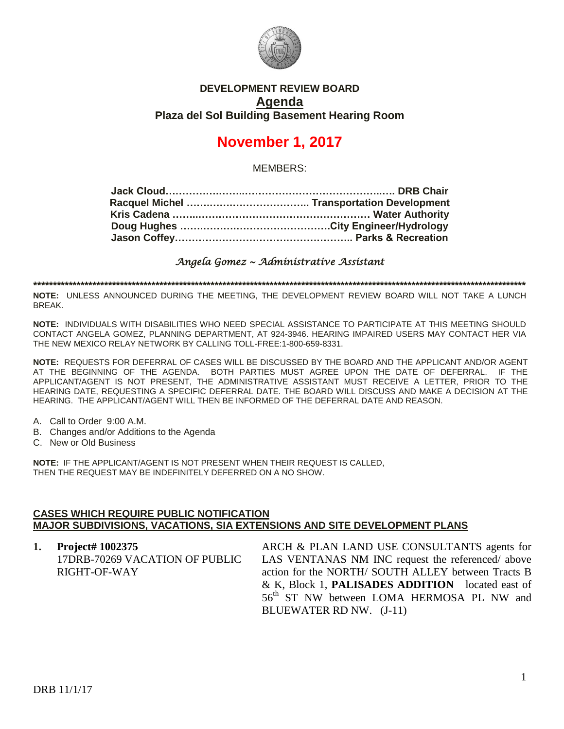

## **DEVELOPMENT REVIEW BOARD Agenda Plaza del Sol Building Basement Hearing Room**

# **November 1, 2017**

MEMBERS:

*Angela Gomez ~ Administrative Assistant* 

**\*\*\*\*\*\*\*\*\*\*\*\*\*\*\*\*\*\*\*\*\*\*\*\*\*\*\*\*\*\*\*\*\*\*\*\*\*\*\*\*\*\*\*\*\*\*\*\*\*\*\*\*\*\*\*\*\*\*\*\*\*\*\*\*\*\*\*\*\*\*\*\*\*\*\*\*\*\*\*\*\*\*\*\*\*\*\*\*\*\*\*\*\*\*\*\*\*\*\*\*\*\*\*\*\*\*\*\*\*\*\*\*\*\*\*\*\*\*\*\*\*\*\*\*\***

**NOTE:** UNLESS ANNOUNCED DURING THE MEETING, THE DEVELOPMENT REVIEW BOARD WILL NOT TAKE A LUNCH BREAK.

**NOTE:** INDIVIDUALS WITH DISABILITIES WHO NEED SPECIAL ASSISTANCE TO PARTICIPATE AT THIS MEETING SHOULD CONTACT ANGELA GOMEZ, PLANNING DEPARTMENT, AT 924-3946. HEARING IMPAIRED USERS MAY CONTACT HER VIA THE NEW MEXICO RELAY NETWORK BY CALLING TOLL-FREE:1-800-659-8331.

**NOTE:** REQUESTS FOR DEFERRAL OF CASES WILL BE DISCUSSED BY THE BOARD AND THE APPLICANT AND/OR AGENT AT THE BEGINNING OF THE AGENDA. BOTH PARTIES MUST AGREE UPON THE DATE OF DEFERRAL. IF THE APPLICANT/AGENT IS NOT PRESENT, THE ADMINISTRATIVE ASSISTANT MUST RECEIVE A LETTER, PRIOR TO THE HEARING DATE, REQUESTING A SPECIFIC DEFERRAL DATE. THE BOARD WILL DISCUSS AND MAKE A DECISION AT THE HEARING. THE APPLICANT/AGENT WILL THEN BE INFORMED OF THE DEFERRAL DATE AND REASON.

- A. Call to Order 9:00 A.M.
- B. Changes and/or Additions to the Agenda
- C. New or Old Business

**NOTE:** IF THE APPLICANT/AGENT IS NOT PRESENT WHEN THEIR REQUEST IS CALLED, THEN THE REQUEST MAY BE INDEFINITELY DEFERRED ON A NO SHOW.

#### **CASES WHICH REQUIRE PUBLIC NOTIFICATION MAJOR SUBDIVISIONS, VACATIONS, SIA EXTENSIONS AND SITE DEVELOPMENT PLANS**

**1. Project# 1002375** 17DRB-70269 VACATION OF PUBLIC RIGHT-OF-WAY

ARCH & PLAN LAND USE CONSULTANTS agents for LAS VENTANAS NM INC request the referenced/ above action for the NORTH/ SOUTH ALLEY between Tracts B & K, Block 1, **PALISADES ADDITION** located east of 56<sup>th</sup> ST NW between LOMA HERMOSA PL NW and BLUEWATER RD NW. (J-11)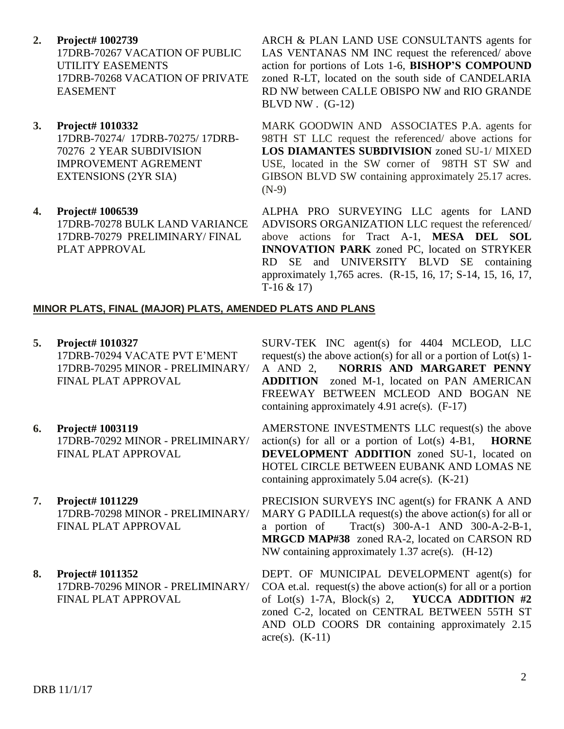**2. Project# 1002739**

17DRB-70267 VACATION OF PUBLIC UTILITY EASEMENTS 17DRB-70268 VACATION OF PRIVATE EASEMENT

- **3. Project# 1010332** 17DRB-70274/ 17DRB-70275/ 17DRB-70276 2 YEAR SUBDIVISION IMPROVEMENT AGREMENT EXTENSIONS (2YR SIA)
- **4. Project# 1006539** 17DRB-70278 BULK LAND VARIANCE 17DRB-70279 PRELIMINARY/ FINAL PLAT APPROVAL

ARCH & PLAN LAND USE CONSULTANTS agents for LAS VENTANAS NM INC request the referenced/ above action for portions of Lots 1-6, **BISHOP'S COMPOUND** zoned R-LT, located on the south side of CANDELARIA RD NW between CALLE OBISPO NW and RIO GRANDE  $BLVD NW$ .  $(G-12)$ 

MARK GOODWIN AND ASSOCIATES P.A. agents for 98TH ST LLC request the referenced/ above actions for **LOS DIAMANTES SUBDIVISION** zoned SU-1/ MIXED USE, located in the SW corner of 98TH ST SW and GIBSON BLVD SW containing approximately 25.17 acres. (N-9)

ALPHA PRO SURVEYING LLC agents for LAND ADVISORS ORGANIZATION LLC request the referenced/ above actions for Tract A-1, **MESA DEL SOL INNOVATION PARK** zoned PC, located on STRYKER RD SE and UNIVERSITY BLVD SE containing approximately 1,765 acres. (R-15, 16, 17; S-14, 15, 16, 17, T-16 & 17)

### **MINOR PLATS, FINAL (MAJOR) PLATS, AMENDED PLATS AND PLANS**

- **5. Project# 1010327** 17DRB-70294 VACATE PVT E'MENT 17DRB-70295 MINOR - PRELIMINARY/ FINAL PLAT APPROVAL
- **6. Project# 1003119** 17DRB-70292 MINOR - PRELIMINARY/ FINAL PLAT APPROVAL
- **7. Project# 1011229** 17DRB-70298 MINOR - PRELIMINARY/ FINAL PLAT APPROVAL
- **8. Project# 1011352** 17DRB-70296 MINOR - PRELIMINARY/ FINAL PLAT APPROVAL

SURV-TEK INC agent(s) for 4404 MCLEOD, LLC request(s) the above action(s) for all or a portion of  $Lot(s)$  1-A AND 2, **NORRIS AND MARGARET PENNY ADDITION** zoned M-1, located on PAN AMERICAN FREEWAY BETWEEN MCLEOD AND BOGAN NE containing approximately 4.91 acre(s). (F-17)

AMERSTONE INVESTMENTS LLC request(s) the above action(s) for all or a portion of Lot(s) 4-B1, **HORNE DEVELOPMENT ADDITION** zoned SU-1, located on HOTEL CIRCLE BETWEEN EUBANK AND LOMAS NE containing approximately 5.04 acre(s). (K-21)

PRECISION SURVEYS INC agent(s) for FRANK A AND MARY G PADILLA request(s) the above action(s) for all or a portion of Tract(s) 300-A-1 AND 300-A-2-B-1, **MRGCD MAP#38** zoned RA-2, located on CARSON RD NW containing approximately 1.37 acre(s). (H-12)

DEPT. OF MUNICIPAL DEVELOPMENT agent(s) for COA et.al. request(s) the above action(s) for all or a portion of Lot(s) 1-7A, Block(s) 2, **YUCCA ADDITION #2** zoned C-2, located on CENTRAL BETWEEN 55TH ST AND OLD COORS DR containing approximately 2.15  $\text{acre}(s)$ .  $(K-11)$